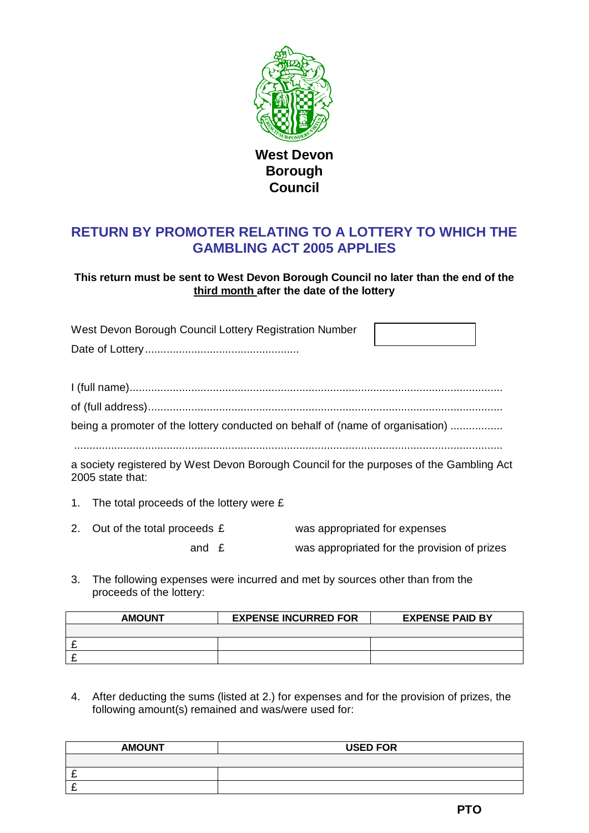

**West Devon Borough Council**

## **RETURN BY PROMOTER RELATING TO A LOTTERY TO WHICH THE GAMBLING ACT 2005 APPLIES**

**This return must be sent to West Devon Borough Council no later than the end of the third month after the date of the lottery**

| West Devon Borough Council Lottery Registration Number                                                      |  |
|-------------------------------------------------------------------------------------------------------------|--|
|                                                                                                             |  |
|                                                                                                             |  |
|                                                                                                             |  |
| being a promoter of the lottery conducted on behalf of (name of organisation)                               |  |
|                                                                                                             |  |
| a society registered by West Devon Borough Council for the purposes of the Gambling Act<br>2005 state that: |  |
| 1. The total proceeds of the lottery were $E$                                                               |  |
|                                                                                                             |  |

- 2. Out of the total proceeds  $E$  was appropriated for expenses and £ was appropriated for the provision of prizes
- 3. The following expenses were incurred and met by sources other than from the proceeds of the lottery:

| <b>AMOUNT</b> | <b>EXPENSE INCURRED FOR</b> | <b>EXPENSE PAID BY</b> |
|---------------|-----------------------------|------------------------|
|               |                             |                        |
|               |                             |                        |
|               |                             |                        |

4. After deducting the sums (listed at 2.) for expenses and for the provision of prizes, the following amount(s) remained and was/were used for:

| <b>AMOUNT</b> | <b>USED FOR</b> |
|---------------|-----------------|
|               |                 |
| -             |                 |
| -             |                 |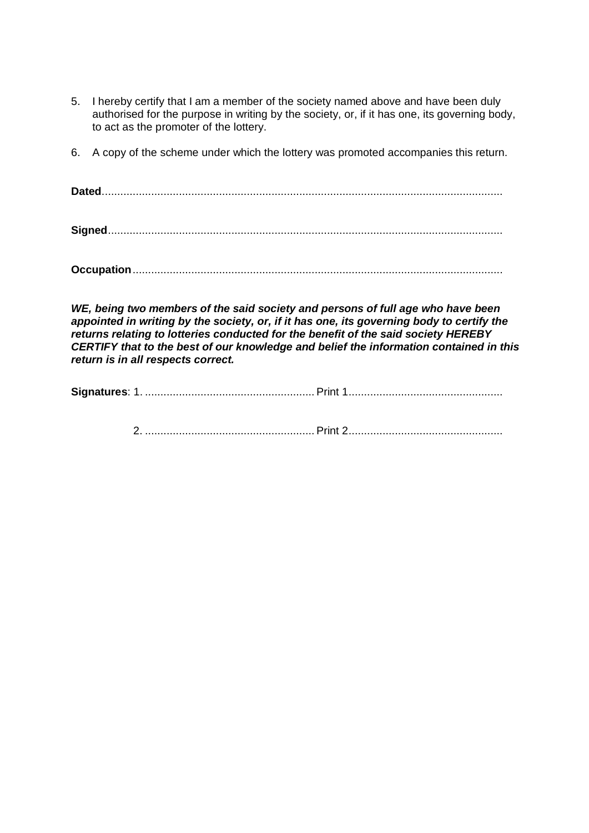- 5. I hereby certify that I am a member of the society named above and have been duly authorised for the purpose in writing by the society, or, if it has one, its governing body, to act as the promoter of the lottery.
- 6. A copy of the scheme under which the lottery was promoted accompanies this return.

**Dated**..................................................................................................................................

**Signed**................................................................................................................................

**Occupation**........................................................................................................................

*WE, being two members of the said society and persons of full age who have been appointed in writing by the society, or, if it has one, its governing body to certify the returns relating to lotteries conducted for the benefit of the said society HEREBY CERTIFY that to the best of our knowledge and belief the information contained in this return is in all respects correct.*

| Signatures: |  |
|-------------|--|
|-------------|--|

2. ....................................................... Print 2..................................................